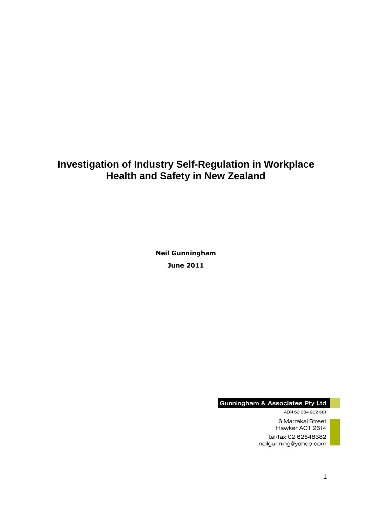# **Investigation of Industry Self-Regulation in Workplace Health and Safety in New Zealand**

**Neil Gunningham June 2011**

Gunningham & Associates Pty Ltd

ABN 50 084 902 581 6 Marrakai Street Hawker ACT 2614

tel/fax 02 62548382 neilgunning@yahoo.com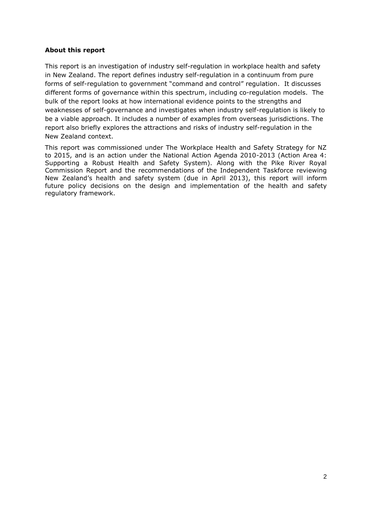## **About this report**

This report is an investigation of industry self-regulation in workplace health and safety in New Zealand. The report defines industry self-regulation in a continuum from pure forms of self-regulation to government "command and control" regulation. It discusses different forms of governance within this spectrum, including co-regulation models. The bulk of the report looks at how international evidence points to the strengths and weaknesses of self-governance and investigates when industry self-regulation is likely to be a viable approach. It includes a number of examples from overseas jurisdictions. The report also briefly explores the attractions and risks of industry self-regulation in the New Zealand context.

This report was commissioned under The Workplace Health and Safety Strategy for NZ to 2015, and is an action under the National Action Agenda 2010-2013 (Action Area 4: Supporting a Robust Health and Safety System). Along with the Pike River Royal Commission Report and the recommendations of the Independent Taskforce reviewing New Zealand's health and safety system (due in April 2013), this report will inform future policy decisions on the design and implementation of the health and safety regulatory framework.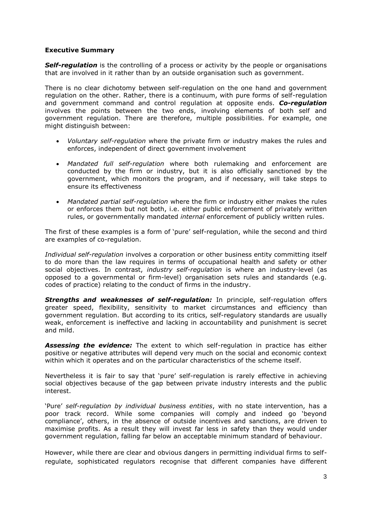### **Executive Summary**

**Self-regulation** is the controlling of a process or activity by the people or organisations that are involved in it rather than by an outside organisation such as government.

There is no clear dichotomy between self-regulation on the one hand and government regulation on the other. Rather, there is a continuum, with pure forms of self-regulation and government command and control regulation at opposite ends. *Co-regulation* involves the points between the two ends, involving elements of both self and government regulation. There are therefore, multiple possibilities. For example, one might distinguish between:

- *Voluntary self-regulation* where the private firm or industry makes the rules and enforces, independent of direct government involvement
- *Mandated full self-regulation* where both rulemaking and enforcement are conducted by the firm or industry, but it is also officially sanctioned by the government, which monitors the program, and if necessary, will take steps to ensure its effectiveness
- *Mandated partial self-regulation* where the firm or industry either makes the rules or enforces them but not both, i.e. either public enforcement of privately written rules, or governmentally mandated *internal* enforcement of publicly written rules.

The first of these examples is a form of 'pure' self-regulation, while the second and third are examples of co-regulation.

*Individual self-regulation* involves a corporation or other business entity committing itself to do more than the law requires in terms of occupational health and safety or other social objectives. In contrast, *industry self-regulation* is where an industry-level (as opposed to a governmental or firm-level) organisation sets rules and standards (e.g. codes of practice) relating to the conduct of firms in the industry.

**Strengths and weaknesses of self-regulation:** In principle, self-regulation offers greater speed, flexibility, sensitivity to market circumstances and efficiency than government regulation. But according to its critics, self-regulatory standards are usually weak, enforcement is ineffective and lacking in accountability and punishment is secret and mild.

*Assessing the evidence:* The extent to which self-regulation in practice has either positive or negative attributes will depend very much on the social and economic context within which it operates and on the particular characteristics of the scheme itself.

Nevertheless it is fair to say that 'pure' self-regulation is rarely effective in achieving social objectives because of the gap between private industry interests and the public interest.

'Pure' *self-regulation by individual business entities*, with no state intervention, has a poor track record. While some companies will comply and indeed go 'beyond compliance', others, in the absence of outside incentives and sanctions, are driven to maximise profits. As a result they will invest far less in safety than they would under government regulation, falling far below an acceptable minimum standard of behaviour.

However, while there are clear and obvious dangers in permitting individual firms to selfregulate, sophisticated regulators recognise that different companies have different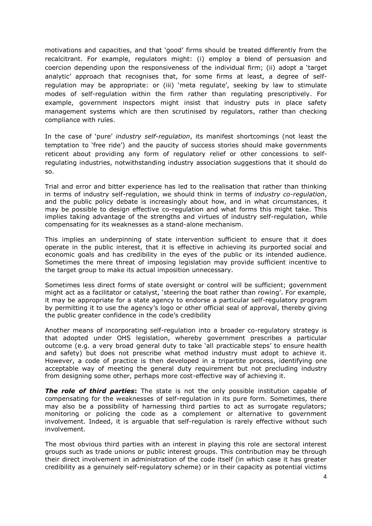motivations and capacities, and that 'good' firms should be treated differently from the recalcitrant. For example, regulators might: (i) employ a blend of persuasion and coercion depending upon the responsiveness of the individual firm; (ii) adopt a 'target analytic' approach that recognises that, for some firms at least, a degree of selfregulation may be appropriate: or (iii) 'meta regulate', seeking by law to stimulate modes of self-regulation within the firm rather than regulating prescriptively. For example, government inspectors might insist that industry puts in place safety management systems which are then scrutinised by regulators, rather than checking compliance with rules.

In the case of 'pure' *industry self-regulation*, its manifest shortcomings (not least the temptation to 'free ride') and the paucity of success stories should make governments reticent about providing any form of regulatory relief or other concessions to selfregulating industries, notwithstanding industry association suggestions that it should do so.

Trial and error and bitter experience has led to the realisation that rather than thinking in terms of industry self-regulation, we should think in terms of *industry co-regulation*, and the public policy debate is increasingly about how, and in what circumstances, it may be possible to design effective co*-*regulation and what forms this might take. This implies taking advantage of the strengths and virtues of industry self-regulation, while compensating for its weaknesses as a stand-alone mechanism.

This implies an underpinning of state intervention sufficient to ensure that it does operate in the public interest, that it is effective in achieving its purported social and economic goals and has credibility in the eyes of the public or its intended audience. Sometimes the mere threat of imposing legislation may provide sufficient incentive to the target group to make its actual imposition unnecessary.

Sometimes less direct forms of state oversight or control will be sufficient; government might act as a facilitator or catalyst, 'steering the boat rather than rowing'. For example, it may be appropriate for a state agency to endorse a particular self-regulatory program by permitting it to use the agency's logo or other official seal of approval, thereby giving the public greater confidence in the code's credibility

Another means of incorporating self-regulation into a broader co-regulatory strategy is that adopted under OHS legislation, whereby government prescribes a particular outcome (e.g. a very broad general duty to take 'all practicable steps' to ensure health and safety) but does not prescribe what method industry must adopt to achieve it. However, a code of practice is then developed in a tripartite process, identifying one acceptable way of meeting the general duty requirement but not precluding industry from designing some other, perhaps more cost-effective way of achieving it.

*The role of third parties***:** The state is not the only possible institution capable of compensating for the weaknesses of self-regulation in its pure form. Sometimes, there may also be a possibility of harnessing third parties to act as surrogate regulators; monitoring or policing the code as a complement or alternative to government involvement. Indeed, it is arguable that self-regulation is rarely effective without such involvement.

The most obvious third parties with an interest in playing this role are sectoral interest groups such as trade unions or public interest groups. This contribution may be through their direct involvement in administration of the code itself (in which case it has greater credibility as a genuinely self-regulatory scheme) or in their capacity as potential victims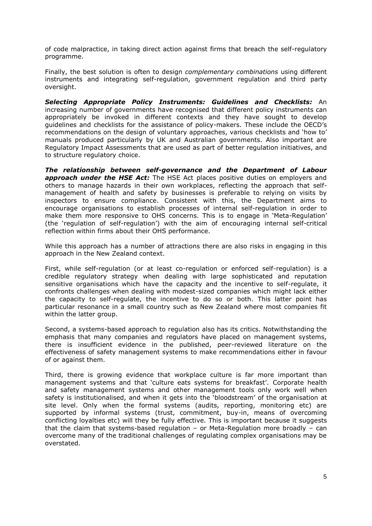of code malpractice, in taking direct action against firms that breach the self-regulatory programme.

Finally, the best solution is often to design *complementary combinations* using different instruments and integrating self-regulation, government regulation and third party oversight.

*Selecting Appropriate Policy Instruments: Guidelines and Checklists:* An increasing number of governments have recognised that different policy instruments can appropriately be invoked in different contexts and they have sought to develop guidelines and checklists for the assistance of policy-makers. These include the OECD's recommendations on the design of voluntary approaches, various checklists and 'how to' manuals produced particularly by UK and Australian governments. Also important are Regulatory Impact Assessments that are used as part of better regulation initiatives, and to structure regulatory choice.

*The relationship between self-governance and the Department of Labour approach under the HSE Act:* The HSE Act places positive duties on employers and others to manage hazards in their own workplaces, reflecting the approach that selfmanagement of health and safety by businesses is preferable to relying on visits by inspectors to ensure compliance. Consistent with this, the Department aims to encourage organisations to establish processes of internal self-regulation in order to make them more responsive to OHS concerns. This is to engage in 'Meta-Regulation' (the 'regulation of self-regulation') with the aim of encouraging internal self-critical reflection within firms about their OHS performance.

While this approach has a number of attractions there are also risks in engaging in this approach in the New Zealand context.

First, while self-regulation (or at least co-regulation or enforced self-regulation) is a credible regulatory strategy when dealing with large sophisticated and reputation sensitive organisations which have the capacity and the incentive to self-regulate, it confronts challenges when dealing with modest-sized companies which might lack either the capacity to self-regulate, the incentive to do so or both. This latter point has particular resonance in a small country such as New Zealand where most companies fit within the latter group.

Second, a systems-based approach to regulation also has its critics. Notwithstanding the emphasis that many companies and regulators have placed on management systems, there is insufficient evidence in the published, peer-reviewed literature on the effectiveness of safety management systems to make recommendations either in favour of or against them.

Third, there is growing evidence that workplace culture is far more important than management systems and that 'culture eats systems for breakfast'. Corporate health and safety management systems and other management tools only work well when safety is institutionalised, and when it gets into the 'bloodstream' of the organisation at site level. Only when the formal systems (audits, reporting, monitoring etc) are supported by informal systems (trust, commitment, buy-in, means of overcoming conflicting loyalties etc) will they be fully effective. This is important because it suggests that the claim that systems-based regulation – or Meta-Regulation more broadly – can overcome many of the traditional challenges of regulating complex organisations may be overstated.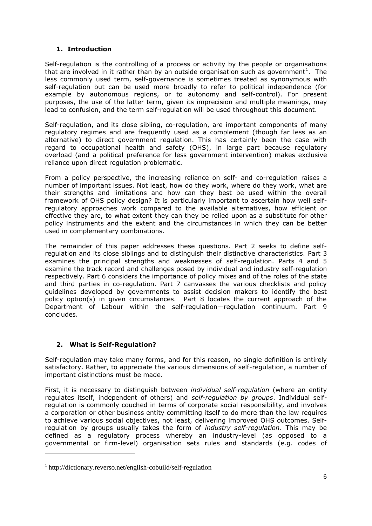# **1. Introduction**

Self-regulation is the controlling of a process or activity by the people or organisations that are involved in it rather than by an outside organisation such as government<sup>1</sup>. The less commonly used term, self-governance is sometimes treated as synonymous with self-regulation but can be used more broadly to refer to political independence (for example by autonomous regions, or to autonomy and self-control). For present purposes, the use of the latter term, given its imprecision and multiple meanings, may lead to confusion, and the term self-regulation will be used throughout this document.

Self-regulation, and its close sibling, co-regulation, are important components of many regulatory regimes and are frequently used as a complement (though far less as an alternative) to direct government regulation. This has certainly been the case with regard to occupational health and safety (OHS), in large part because regulatory overload (and a political preference for less government intervention) makes exclusive reliance upon direct regulation problematic.

From a policy perspective, the increasing reliance on self- and co-regulation raises a number of important issues. Not least, how do they work, where do they work, what are their strengths and limitations and how can they best be used within the overall framework of OHS policy design? It is particularly important to ascertain how well selfregulatory approaches work compared to the available alternatives, how efficient or effective they are, to what extent they can they be relied upon as a substitute for other policy instruments and the extent and the circumstances in which they can be better used in complementary combinations.

The remainder of this paper addresses these questions. Part 2 seeks to define selfregulation and its close siblings and to distinguish their distinctive characteristics. Part 3 examines the principal strengths and weaknesses of self-regulation. Parts 4 and 5 examine the track record and challenges posed by individual and industry self-regulation respectively. Part 6 considers the importance of policy mixes and of the roles of the state and third parties in co-regulation. Part 7 canvasses the various checklists and policy guidelines developed by governments to assist decision makers to identify the best policy option(s) in given circumstances. Part 8 locates the current approach of the Department of Labour within the self-regulation—regulation continuum. Part 9 concludes.

# **2. What is Self-Regulation?**

-

Self-regulation may take many forms, and for this reason, no single definition is entirely satisfactory. Rather, to appreciate the various dimensions of self-regulation, a number of important distinctions must be made.

First, it is necessary to distinguish between *individual self-regulation* (where an entity regulates itself, independent of others) and *self-regulation by groups*. Individual selfregulation is commonly couched in terms of corporate social responsibility, and involves a corporation or other business entity committing itself to do more than the law requires to achieve various social objectives, not least, delivering improved OHS outcomes. Selfregulation by groups usually takes the form of *industry self-regulation*. This may be defined as a regulatory process whereby an industry-level (as opposed to a governmental or firm-level) organisation sets rules and standards (e.g. codes of

<sup>1</sup> http://dictionary.reverso.net/english-cobuild/self-regulation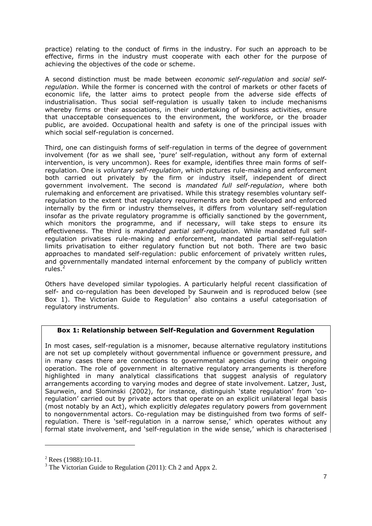practice) relating to the conduct of firms in the industry. For such an approach to be effective, firms in the industry must cooperate with each other for the purpose of achieving the objectives of the code or scheme.

A second distinction must be made between *economic self-regulation* and *social selfregulation*. While the former is concerned with the control of markets or other facets of economic life, the latter aims to protect people from the adverse side effects of industrialisation. Thus social self-regulation is usually taken to include mechanisms whereby firms or their associations, in their undertaking of business activities, ensure that unacceptable consequences to the environment, the workforce, or the broader public, are avoided. Occupational health and safety is one of the principal issues with which social self-regulation is concerned.

Third, one can distinguish forms of self-regulation in terms of the degree of government involvement (for as we shall see, 'pure' self-regulation, without any form of external intervention, is very uncommon). Rees for example, identifies three main forms of selfregulation. One is *voluntary self-regulation*, which pictures rule-making and enforcement both carried out privately by the firm or industry itself, independent of direct government involvement. The second is *mandated full self-regulation*, where both rulemaking and enforcement are privatised. While this strategy resembles voluntary selfregulation to the extent that regulatory requirements are both developed and enforced internally by the firm or industry themselves, it differs from voluntary self-regulation insofar as the private regulatory programme is officially sanctioned by the government, which monitors the programme, and if necessary, will take steps to ensure its effectiveness. The third is *mandated partial self-regulation*. While mandated full selfregulation privatises rule-making and enforcement, mandated partial self-regulation limits privatisation to either regulatory function but not both. There are two basic approaches to mandated self-regulation: public enforcement of privately written rules, and governmentally mandated internal enforcement by the company of publicly written rules. 2

Others have developed similar typologies. A particularly helpful recent classification of self- and co-regulation has been developed by Saurwein and is reproduced below (see Box 1). The Victorian Guide to Regulation<sup>3</sup> also contains a useful categorisation of regulatory instruments.

# **Box 1: Relationship between Self-Regulation and Government Regulation**

In most cases, self-regulation is a misnomer, because alternative regulatory institutions are not set up completely without governmental influence or government pressure, and in many cases there are connections to governmental agencies during their ongoing operation. The role of government in alternative regulatory arrangements is therefore highlighted in many analytical classifications that suggest analysis of regulatory arrangements according to varying modes and degree of state involvement. Latzer, Just, Saurwein, and Slominski (2002), for instance, distinguish 'state regulation' from 'coregulation' carried out by private actors that operate on an explicit unilateral legal basis (most notably by an Act), which explicitly *delegates* regulatory powers from government to nongovernmental actors. Co-regulation may be distinguished from two forms of selfregulation. There is 'self-regulation in a narrow sense,' which operates without any formal state involvement, and 'self-regulation in the wide sense,' which is characterised

 $2$  Rees (1988):10-11.

 $3$  The Victorian Guide to Regulation (2011): Ch 2 and Appx 2.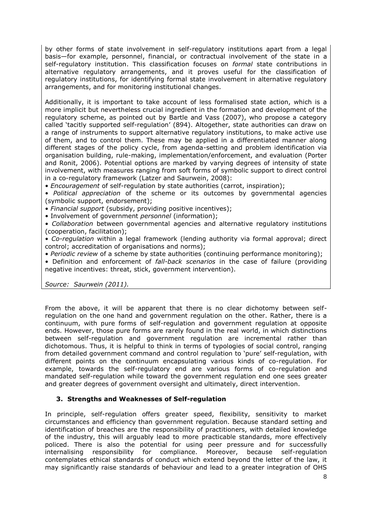by other forms of state involvement in self-regulatory institutions apart from a legal basis—for example, personnel, financial, or contractual involvement of the state in a self-regulatory institution. This classification focuses on *formal* state contributions in alternative regulatory arrangements, and it proves useful for the classification of regulatory institutions, for identifying formal state involvement in alternative regulatory arrangements, and for monitoring institutional changes.

Additionally, it is important to take account of less formalised state action, which is a more implicit but nevertheless crucial ingredient in the formation and development of the regulatory scheme, as pointed out by Bartle and Vass (2007), who propose a category called 'tacitly supported self-regulation' (894). Altogether, state authorities can draw on a range of instruments to support alternative regulatory institutions, to make active use of them, and to control them. These may be applied in a differentiated manner along different stages of the policy cycle, from agenda-setting and problem identification via organisation building, rule-making, implementation/enforcement, and evaluation (Porter and Ronit, 2006). Potential options are marked by varying degrees of intensity of state involvement, with measures ranging from soft forms of symbolic support to direct control in a co-regulatory framework (Latzer and Saurwein, 2008):

• *Encouragement* of self-regulation by state authorities (carrot, inspiration);

• *Political appreciation* of the scheme or its outcomes by governmental agencies (symbolic support, endorsement);

• *Financial support* (subsidy, providing positive incentives);

• Involvement of government *personnel* (information);

• *Collaboration* between governmental agencies and alternative regulatory institutions (cooperation, facilitation);

• *Co-regulation* within a legal framework (lending authority via formal approval; direct control; accreditation of organisations and norms);

• *Periodic review* of a scheme by state authorities (continuing performance monitoring);

• Definition and enforcement of *fall-back scenarios* in the case of failure (providing negative incentives: threat, stick, government intervention).

*Source: Saurwein (2011).*

From the above, it will be apparent that there is no clear dichotomy between selfregulation on the one hand and government regulation on the other. Rather, there is a continuum, with pure forms of self-regulation and government regulation at opposite ends. However, those pure forms are rarely found in the real world, in which distinctions between self-regulation and government regulation are incremental rather than dichotomous. Thus, it is helpful to think in terms of typologies of social control, ranging from detailed government command and control regulation to 'pure' self-regulation, with different points on the continuum encapsulating various kinds of co-regulation. For example, towards the self-regulatory end are various forms of co-regulation and mandated self-regulation while toward the government regulation end one sees greater and greater degrees of government oversight and ultimately, direct intervention.

# **3. Strengths and Weaknesses of Self-regulation**

In principle, self-regulation offers greater speed, flexibility, sensitivity to market circumstances and efficiency than government regulation. Because standard setting and identification of breaches are the responsibility of practitioners, with detailed knowledge of the industry, this will arguably lead to more practicable standards, more effectively policed. There is also the potential for using peer pressure and for successfully internalising responsibility for compliance. Moreover, because self-regulation contemplates ethical standards of conduct which extend beyond the letter of the law, it may significantly raise standards of behaviour and lead to a greater integration of OHS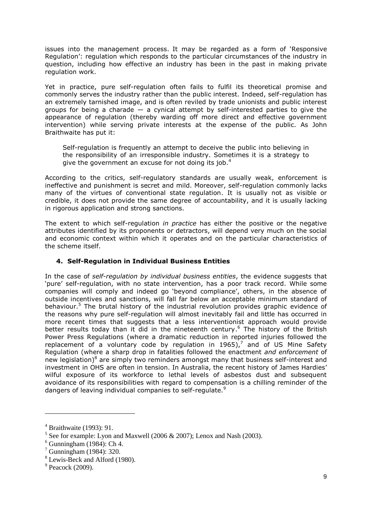issues into the management process. It may be regarded as a form of 'Responsive Regulation': regulation which responds to the particular circumstances of the industry in question, including how effective an industry has been in the past in making private regulation work.

Yet in practice, pure self-regulation often fails to fulfil its theoretical promise and commonly serves the industry rather than the public interest. Indeed, self-regulation has an extremely tarnished image, and is often reviled by trade unionists and public interest groups for being a charade  $-$  a cynical attempt by self-interested parties to give the appearance of regulation (thereby warding off more direct and effective government intervention) while serving private interests at the expense of the public. As John Braithwaite has put it:

Self-regulation is frequently an attempt to deceive the public into believing in the responsibility of an irresponsible industry. Sometimes it is a strategy to give the government an excuse for not doing its job.<sup>4</sup>

According to the critics, self-regulatory standards are usually weak, enforcement is ineffective and punishment is secret and mild. Moreover, self-regulation commonly lacks many of the virtues of conventional state regulation. It is usually not as visible or credible, it does not provide the same degree of accountability, and it is usually lacking in rigorous application and strong sanctions.

The extent to which self-regulation *in practice* has either the positive or the negative attributes identified by its proponents or detractors, will depend very much on the social and economic context within which it operates and on the particular characteristics of the scheme itself.

# **4. Self-Regulation in Individual Business Entities**

In the case of *self-regulation by individual business entities*, the evidence suggests that 'pure' self-regulation, with no state intervention, has a poor track record. While some companies will comply and indeed go 'beyond compliance', others, in the absence of outside incentives and sanctions, will fall far below an acceptable minimum standard of behaviour.<sup>5</sup> The brutal history of the industrial revolution provides graphic evidence of the reasons why pure self-regulation will almost inevitably fail and little has occurred in more recent times that suggests that a less interventionist approach would provide better results today than it did in the nineteenth century.<sup>6</sup> The history of the British Power Press Regulations (where a dramatic reduction in reported injuries followed the replacement of a voluntary code by regulation in 1965),<sup>7</sup> and of US Mine Safety Regulation (where a sharp drop in fatalities followed the enactment *and enforcement* of new legislation)<sup>8</sup> are simply two reminders amongst many that business self-interest and investment in OHS are often in tension. In Australia, the recent history of James Hardies' wilful exposure of its workforce to lethal levels of asbestos dust and subsequent avoidance of its responsibilities with regard to compensation is a chilling reminder of the dangers of leaving individual companies to self-regulate.<sup>9</sup>

<sup>4</sup> Braithwaite (1993): 91.

<sup>&</sup>lt;sup>5</sup> See for example: Lyon and Maxwell (2006 & 2007); Lenox and Nash (2003).

 $6$  Gunningham (1984): Ch 4.

<sup>7</sup> Gunningham (1984): 320.

<sup>8</sup> Lewis-Beck and Alford (1980).

 $9$  Peacock (2009).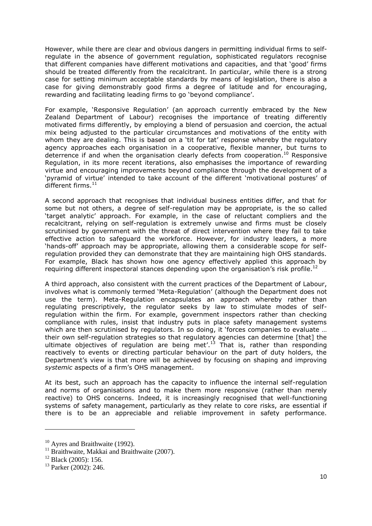However, while there are clear and obvious dangers in permitting individual firms to selfregulate in the absence of government regulation, sophisticated regulators recognise that different companies have different motivations and capacities, and that 'good' firms should be treated differently from the recalcitrant. In particular, while there is a strong case for setting minimum acceptable standards by means of legislation, there is also a case for giving demonstrably good firms a degree of latitude and for encouraging, rewarding and facilitating leading firms to go 'beyond compliance'.

For example, 'Responsive Regulation' (an approach currently embraced by the New Zealand Department of Labour) recognises the importance of treating differently motivated firms differently, by employing a blend of persuasion and coercion, the actual mix being adjusted to the particular circumstances and motivations of the entity with whom they are dealing. This is based on a 'tit for tat' response whereby the regulatory agency approaches each organisation in a cooperative, flexible manner, but turns to deterrence if and when the organisation clearly defects from cooperation.<sup>10</sup> Responsive Regulation, in its more recent iterations, also emphasises the importance of rewarding virtue and encouraging improvements beyond compliance through the development of a 'pyramid of virtue' intended to take account of the different 'motivational postures' of different firms.<sup>11</sup>

A second approach that recognises that individual business entities differ, and that for some but not others, a degree of self-regulation may be appropriate, is the so called 'target analytic' approach. For example, in the case of reluctant compliers and the recalcitrant, relying on self-regulation is extremely unwise and firms must be closely scrutinised by government with the threat of direct intervention where they fail to take effective action to safeguard the workforce. However, for industry leaders, a more 'hands-off' approach may be appropriate, allowing them a considerable scope for selfregulation provided they can demonstrate that they are maintaining high OHS standards. For example, Black has shown how one agency effectively applied this approach by requiring different inspectoral stances depending upon the organisation's risk profile.<sup>12</sup>

A third approach, also consistent with the current practices of the Department of Labour, involves what is commonly termed 'Meta-Regulation' (although the Department does not use the term). Meta-Regulation encapsulates an approach whereby rather than regulating prescriptively, the regulator seeks by law to stimulate modes of selfregulation within the firm. For example, government inspectors rather than checking compliance with rules, insist that industry puts in place safety management systems which are then scrutinised by regulators. In so doing, it 'forces companies to evaluate ... their own self-regulation strategies so that regulatory agencies can determine [that] the ultimate objectives of regulation are being met<sup>', 13</sup> That is, rather than responding reactively to events or directing particular behaviour on the part of duty holders, the Department's view is that more will be achieved by focusing on shaping and improving *systemic* aspects of a firm's OHS management.

At its best, such an approach has the capacity to influence the internal self-regulation and norms of organisations and to make them more responsive (rather than merely reactive) to OHS concerns. Indeed, it is increasingly recognised that well-functioning systems of safety management, particularly as they relate to core risks, are essential if there is to be an appreciable and reliable improvement in safety performance.

<sup>&</sup>lt;sup>10</sup> Ayres and Braithwaite (1992).

 $11$  Braithwaite, Makkai and Braithwaite (2007).

<sup>12</sup> Black (2005): 156.

<sup>13</sup> Parker (2002): 246.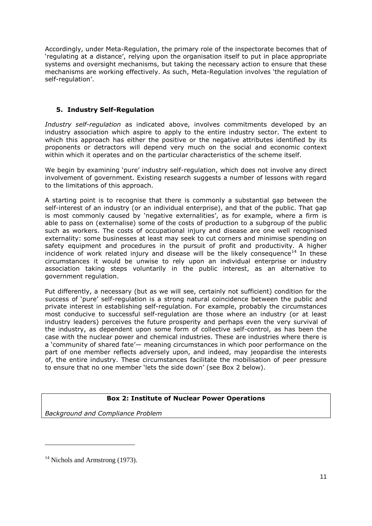Accordingly, under Meta-Regulation, the primary role of the inspectorate becomes that of 'regulating at a distance', relying upon the organisation itself to put in place appropriate systems and oversight mechanisms, but taking the necessary action to ensure that these mechanisms are working effectively. As such, Meta-Regulation involves 'the regulation of self-regulation'.

# **5. Industry Self-Regulation**

*Industry self-regulation* as indicated above, involves commitments developed by an industry association which aspire to apply to the entire industry sector. The extent to which this approach has either the positive or the negative attributes identified by its proponents or detractors will depend very much on the social and economic context within which it operates and on the particular characteristics of the scheme itself.

We begin by examining 'pure' industry self-regulation, which does not involve any direct involvement of government. Existing research suggests a number of lessons with regard to the limitations of this approach.

A starting point is to recognise that there is commonly a substantial gap between the self-interest of an industry (or an individual enterprise), and that of the public. That gap is most commonly caused by 'negative externalities', as for example, where a firm is able to pass on (externalise) some of the costs of production to a subgroup of the public such as workers. The costs of occupational injury and disease are one well recognised externality: some businesses at least may seek to cut corners and minimise spending on safety equipment and procedures in the pursuit of profit and productivity. A higher incidence of work related injury and disease will be the likely consequence<sup>14</sup> In these circumstances it would be unwise to rely upon an individual enterprise or industry association taking steps voluntarily in the public interest, as an alternative to government regulation.

Put differently, a necessary (but as we will see, certainly not sufficient) condition for the success of 'pure' self-regulation is a strong natural coincidence between the public and private interest in establishing self-regulation. For example, probably the circumstances most conducive to successful self-regulation are those where an industry (or at least industry leaders) perceives the future prosperity and perhaps even the very survival of the industry, as dependent upon some form of collective self-control, as has been the case with the nuclear power and chemical industries. These are industries where there is a 'community of shared fate'— meaning circumstances in which poor performance on the part of one member reflects adversely upon, and indeed, may jeopardise the interests of, the entire industry. These circumstances facilitate the mobilisation of peer pressure to ensure that no one member 'lets the side down' (see Box 2 below).

# **Box 2: Institute of Nuclear Power Operations**

*Background and Compliance Problem*

 $14$  Nichols and Armstrong (1973).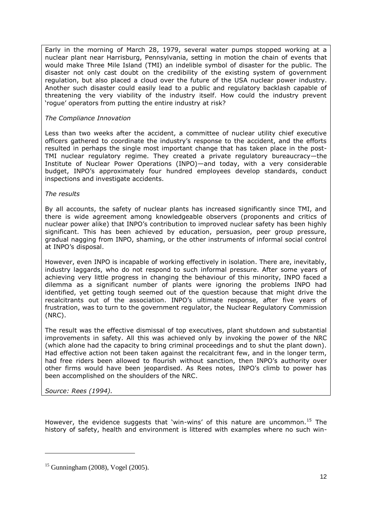Early in the morning of March 28, 1979, several water pumps stopped working at a nuclear plant near Harrisburg, Pennsylvania, setting in motion the chain of events that would make Three Mile Island (TMI) an indelible symbol of disaster for the public. The disaster not only cast doubt on the credibility of the existing system of government regulation, but also placed a cloud over the future of the USA nuclear power industry. Another such disaster could easily lead to a public and regulatory backlash capable of threatening the very viability of the industry itself. How could the industry prevent 'rogue' operators from putting the entire industry at risk?

## *The Compliance Innovation*

Less than two weeks after the accident, a committee of nuclear utility chief executive officers gathered to coordinate the industry's response to the accident, and the efforts resulted in perhaps the single most important change that has taken place in the post-TMI nuclear regulatory regime. They created a private regulatory bureaucracy—the Institute of Nuclear Power Operations (INPO)—and today, with a very considerable budget, INPO's approximately four hundred employees develop standards, conduct inspections and investigate accidents.

## *The results*

By all accounts, the safety of nuclear plants has increased significantly since TMI, and there is wide agreement among knowledgeable observers (proponents and critics of nuclear power alike) that INPO's contribution to improved nuclear safety has been highly significant. This has been achieved by education, persuasion, peer group pressure, gradual nagging from INPO, shaming, or the other instruments of informal social control at INPO's disposal.

However, even INPO is incapable of working effectively in isolation. There are, inevitably, industry laggards, who do not respond to such informal pressure. After some years of achieving very little progress in changing the behaviour of this minority, INPO faced a dilemma as a significant number of plants were ignoring the problems INPO had identified, yet getting tough seemed out of the question because that might drive the recalcitrants out of the association. INPO's ultimate response, after five years of frustration, was to turn to the government regulator, the Nuclear Regulatory Commission (NRC).

The result was the effective dismissal of top executives, plant shutdown and substantial improvements in safety. All this was achieved only by invoking the power of the NRC (which alone had the capacity to bring criminal proceedings and to shut the plant down). Had effective action not been taken against the recalcitrant few, and in the longer term, had free riders been allowed to flourish without sanction, then INPO's authority over other firms would have been jeopardised. As Rees notes, INPO's climb to power has been accomplished on the shoulders of the NRC.

*Source: Rees (1994).*

-

However, the evidence suggests that 'win-wins' of this nature are uncommon.<sup>15</sup> The history of safety, health and environment is littered with examples where no such win-

 $15$  Gunningham (2008), Vogel (2005).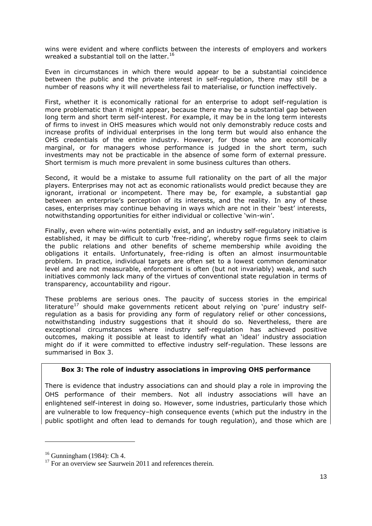wins were evident and where conflicts between the interests of employers and workers wreaked a substantial toll on the latter.  $16$ 

Even in circumstances in which there would appear to be a substantial coincidence between the public and the private interest in self-regulation, there may still be a number of reasons why it will nevertheless fail to materialise, or function ineffectively.

First, whether it is economically rational for an enterprise to adopt self-regulation is more problematic than it might appear, because there may be a substantial gap between long term and short term self-interest. For example, it may be in the long term interests of firms to invest in OHS measures which would not only demonstrably reduce costs and increase profits of individual enterprises in the long term but would also enhance the OHS credentials of the entire industry. However, for those who are economically marginal, or for managers whose performance is judged in the short term, such investments may not be practicable in the absence of some form of external pressure. Short termism is much more prevalent in some business cultures than others.

Second, it would be a mistake to assume full rationality on the part of all the major players. Enterprises may not act as economic rationalists would predict because they are ignorant, irrational or incompetent. There may be, for example, a substantial gap between an enterprise's perception of its interests, and the reality. In any of these cases, enterprises may continue behaving in ways which are not in their 'best' interests, notwithstanding opportunities for either individual or collective 'win-win'.

Finally, even where win-wins potentially exist, and an industry self-regulatory initiative is established, it may be difficult to curb 'free-riding', whereby rogue firms seek to claim the public relations and other benefits of scheme membership while avoiding the obligations it entails. Unfortunately, free-riding is often an almost insurmountable problem. In practice, individual targets are often set to a lowest common denominator level and are not measurable, enforcement is often (but not invariably) weak, and such initiatives commonly lack many of the virtues of conventional state regulation in terms of transparency, accountability and rigour.

These problems are serious ones. The paucity of success stories in the empirical literature<sup>17</sup> should make governments reticent about relying on 'pure' industry selfregulation as a basis for providing any form of regulatory relief or other concessions, notwithstanding industry suggestions that it should do so. Nevertheless, there are exceptional circumstances where industry self-regulation has achieved positive outcomes, making it possible at least to identify what an 'ideal' industry association might do if it were committed to effective industry self-regulation. These lessons are summarised in Box 3.

# **Box 3: The role of industry associations in improving OHS performance**

There is evidence that industry associations can and should play a role in improving the OHS performance of their members. Not all industry associations will have an enlightened self-interest in doing so. However, some industries, particularly those which are vulnerable to low frequency–high consequence events (which put the industry in the public spotlight and often lead to demands for tough regulation), and those which are

 $16$  Gunningham (1984): Ch 4.

<sup>&</sup>lt;sup>17</sup> For an overview see Saurwein 2011 and references therein.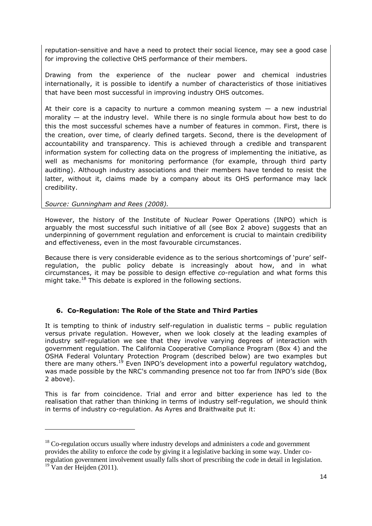reputation-sensitive and have a need to protect their social licence, may see a good case for improving the collective OHS performance of their members.

Drawing from the experience of the nuclear power and chemical industries internationally, it is possible to identify a number of characteristics of those initiatives that have been most successful in improving industry OHS outcomes.

At their core is a capacity to nurture a common meaning system  $-$  a new industrial morality — at the industry level. While there is no single formula about how best to do this the most successful schemes have a number of features in common. First, there is the creation, over time, of clearly defined targets. Second, there is the development of accountability and transparency. This is achieved through a credible and transparent information system for collecting data on the progress of implementing the initiative, as well as mechanisms for monitoring performance (for example, through third party auditing). Although industry associations and their members have tended to resist the latter, without it, claims made by a company about its OHS performance may lack credibility.

#### *Source: Gunningham and Rees (2008).*

However, the history of the Institute of Nuclear Power Operations (INPO) which is arguably the most successful such initiative of all (see Box 2 above) suggests that an underpinning of government regulation and enforcement is crucial to maintain credibility and effectiveness, even in the most favourable circumstances.

Because there is very considerable evidence as to the serious shortcomings of 'pure' selfregulation, the public policy debate is increasingly about how, and in what circumstances, it may be possible to design effective *co-*regulation and what forms this might take.<sup>18</sup> This debate is explored in the following sections.

# **6. Co-Regulation: The Role of the State and Third Parties**

It is tempting to think of industry self-regulation in dualistic terms – public regulation versus private regulation. However, when we look closely at the leading examples of industry self-regulation we see that they involve varying degrees of interaction with government regulation. The California Cooperative Compliance Program (Box 4) and the OSHA Federal Voluntary Protection Program (described below) are two examples but there are many others.<sup>19</sup> Even INPO's development into a powerful regulatory watchdog, was made possible by the NRC's commanding presence not too far from INPO's side (Box 2 above).

This is far from coincidence. Trial and error and bitter experience has led to the realisation that rather than thinking in terms of industry self-regulation, we should think in terms of industry co-regulation. As Ayres and Braithwaite put it:

 $18$  Co-regulation occurs usually where industry develops and administers a code and government provides the ability to enforce the code by giving it a legislative backing in some way. Under coregulation government involvement usually falls short of prescribing the code in detail in legislation.

 $19$  Van der Heijden (2011).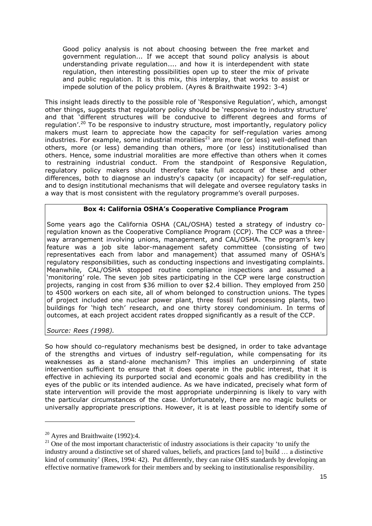Good policy analysis is not about choosing between the free market and government regulation... If we accept that sound policy analysis is about understanding private regulation.... and how it is interdependent with state regulation, then interesting possibilities open up to steer the mix of private and public regulation. It is this mix, this interplay, that works to assist or impede solution of the policy problem. (Ayres & Braithwaite 1992: 3-4)

This insight leads directly to the possible role of 'Responsive Regulation', which, amongst other things, suggests that regulatory policy should be 'responsive to industry structure' and that 'different structures will be conducive to different degrees and forms of regulation'.<sup>20</sup> To be responsive to industry structure, most importantly, regulatory policy makers must learn to appreciate how the capacity for self-regulation varies among industries. For example, some industrial moralities<sup>21</sup> are more (or less) well-defined than others, more (or less) demanding than others, more (or less) institutionalised than others. Hence, some industrial moralities are more effective than others when it comes to restraining industrial conduct. From the standpoint of Responsive Regulation, regulatory policy makers should therefore take full account of these and other differences, both to diagnose an industry's capacity (or incapacity) for self-regulation, and to design institutional mechanisms that will delegate and oversee regulatory tasks in a way that is most consistent with the regulatory programme's overall purposes.

# **Box 4: California OSHA's Cooperative Compliance Program**

Some years ago the California OSHA (CAL/OSHA) tested a strategy of industry coregulation known as the Cooperative Compliance Program (CCP). The CCP was a threeway arrangement involving unions, management, and CAL/OSHA. The program's key feature was a job site labor-management safety committee (consisting of two representatives each from labor and management) that assumed many of OSHA's regulatory responsibilities, such as conducting inspections and investigating complaints. Meanwhile, CAL/OSHA stopped routine compliance inspections and assumed a 'monitoring' role. The seven job sites participating in the CCP were large construction projects, ranging in cost from \$36 million to over \$2.4 billion. They employed from 250 to 4500 workers on each site, all of whom belonged to construction unions. The types of project included one nuclear power plant, three fossil fuel processing plants, two buildings for 'high tech' research, and one thirty storey condominium. In terms of outcomes, at each project accident rates dropped significantly as a result of the CCP.

*Source: Rees (1998).*

So how should co-regulatory mechanisms best be designed, in order to take advantage of the strengths and virtues of industry self-regulation, while compensating for its weaknesses as a stand-alone mechanism? This implies an underpinning of state intervention sufficient to ensure that it does operate in the public interest, that it is effective in achieving its purported social and economic goals and has credibility in the eyes of the public or its intended audience. As we have indicated, precisely what form of state intervention will provide the most appropriate underpinning is likely to vary with the particular circumstances of the case. Unfortunately, there are no magic bullets or universally appropriate prescriptions. However, it is at least possible to identify some of

 $20$  Ayres and Braithwaite (1992):4.

 $21$  One of the most important characteristic of industry associations is their capacity 'to unify the industry around a distinctive set of shared values, beliefs, and practices [and to] build … a distinctive kind of community' (Rees, 1994: 42). Put differently, they can raise OHS standards by developing an effective normative framework for their members and by seeking to institutionalise responsibility*.*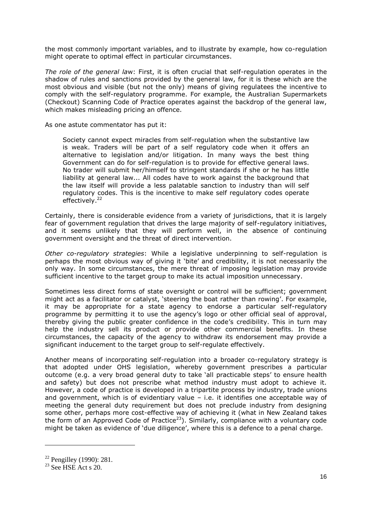the most commonly important variables, and to illustrate by example, how co-regulation might operate to optimal effect in particular circumstances.

*The role of the general la*w: First, it is often crucial that self-regulation operates in the shadow of rules and sanctions provided by the general law, for it is these which are the most obvious and visible (but not the only) means of giving regulatees the incentive to comply with the self-regulatory programme. For example, the Australian Supermarkets (Checkout) Scanning Code of Practice operates against the backdrop of the general law, which makes misleading pricing an offence.

As one astute commentator has put it:

Society cannot expect miracles from self-regulation when the substantive law is weak. Traders will be part of a self regulatory code when it offers an alternative to legislation and/or litigation. In many ways the best thing Government can do for self-regulation is to provide for effective general laws. No trader will submit her/himself to stringent standards if she or he has little liability at general law... All codes have to work against the background that the law itself will provide a less palatable sanction to industry than will self regulatory codes. This is the incentive to make self regulatory codes operate effectively.<sup>22</sup>

Certainly, there is considerable evidence from a variety of jurisdictions, that it is largely fear of government regulation that drives the large majority of self-regulatory initiatives, and it seems unlikely that they will perform well, in the absence of continuing government oversight and the threat of direct intervention.

*Other co-regulatory strategies*: While a legislative underpinning to self-regulation is perhaps the most obvious way of giving it 'bite' and credibility, it is not necessarily the only way. In some circumstances, the mere threat of imposing legislation may provide sufficient incentive to the target group to make its actual imposition unnecessary.

Sometimes less direct forms of state oversight or control will be sufficient; government might act as a facilitator or catalyst, 'steering the boat rather than rowing'. For example, it may be appropriate for a state agency to endorse a particular self-regulatory programme by permitting it to use the agency's logo or other official seal of approval, thereby giving the public greater confidence in the code's credibility. This in turn may help the industry sell its product or provide other commercial benefits. In these circumstances, the capacity of the agency to withdraw its endorsement may provide a significant inducement to the target group to self-regulate effectively.

Another means of incorporating self-regulation into a broader co-regulatory strategy is that adopted under OHS legislation, whereby government prescribes a particular outcome (e.g. a very broad general duty to take 'all practicable steps' to ensure health and safety) but does not prescribe what method industry must adopt to achieve it. However, a code of practice is developed in a tripartite process by industry, trade unions and government, which is of evidentiary value  $-$  i.e. it identifies one acceptable way of meeting the general duty requirement but does not preclude industry from designing some other, perhaps more cost-effective way of achieving it (what in New Zealand takes the form of an Approved Code of Practice<sup>23</sup>). Similarly, compliance with a voluntary code might be taken as evidence of 'due diligence', where this is a defence to a penal charge.

<sup>&</sup>lt;sup>22</sup> Pengilley (1990): 281.

 $23$  See HSE Act s 20.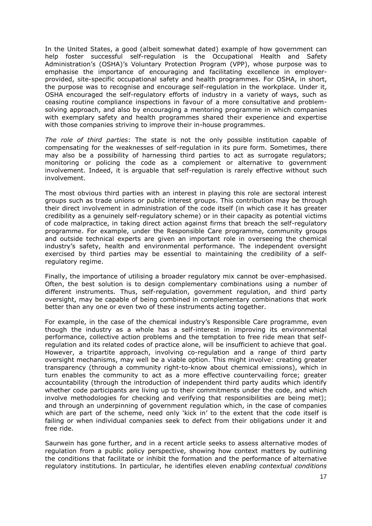In the United States, a good (albeit somewhat dated) example of how government can help foster successful self-regulation is the Occupational Health and Safety Administration's (OSHA)'s Voluntary Protection Program (VPP), whose purpose was to emphasise the importance of encouraging and facilitating excellence in employerprovided, site-specific occupational safety and health programmes. For OSHA, in short, the purpose was to recognise and encourage self-regulation in the workplace. Under it, OSHA encouraged the self-regulatory efforts of industry in a variety of ways, such as ceasing routine compliance inspections in favour of a more consultative and problemsolving approach, and also by encouraging a mentoring programme in which companies with exemplary safety and health programmes shared their experience and expertise with those companies striving to improve their in-house programmes.

*The role of third parties*: The state is not the only possible institution capable of compensating for the weaknesses of self-regulation in its pure form. Sometimes, there may also be a possibility of harnessing third parties to act as surrogate regulators; monitoring or policing the code as a complement or alternative to government involvement. Indeed, it is arguable that self-regulation is rarely effective without such involvement.

The most obvious third parties with an interest in playing this role are sectoral interest groups such as trade unions or public interest groups. This contribution may be through their direct involvement in administration of the code itself (in which case it has greater credibility as a genuinely self-regulatory scheme) or in their capacity as potential victims of code malpractice, in taking direct action against firms that breach the self-regulatory programme. For example, under the Responsible Care programme, community groups and outside technical experts are given an important role in overseeing the chemical industry's safety, health and environmental performance. The independent oversight exercised by third parties may be essential to maintaining the credibility of a selfregulatory regime.

Finally, the importance of utilising a broader regulatory mix cannot be over-emphasised. Often, the best solution is to design complementary combinations using a number of different instruments. Thus, self-regulation, government regulation, and third party oversight, may be capable of being combined in complementary combinations that work better than any one or even two of these instruments acting together.

For example, in the case of the chemical industry's Responsible Care programme, even though the industry as a whole has a self-interest in improving its environmental performance, collective action problems and the temptation to free ride mean that selfregulation and its related codes of practice alone, will be insufficient to achieve that goal. However, a tripartite approach, involving co-regulation and a range of third party oversight mechanisms, may well be a viable option. This might involve: creating greater transparency (through a community right-to-know about chemical emissions), which in turn enables the community to act as a more effective countervailing force; greater accountability (through the introduction of independent third party audits which identify whether code participants are living up to their commitments under the code, and which involve methodologies for checking and verifying that responsibilities are being met); and through an underpinning of government regulation which, in the case of companies which are part of the scheme, need only 'kick in' to the extent that the code itself is failing or when individual companies seek to defect from their obligations under it and free ride.

Saurwein has gone further, and in a recent article seeks to assess alternative modes of regulation from a public policy perspective, showing how context matters by outlining the conditions that facilitate or inhibit the formation and the performance of alternative regulatory institutions. In particular, he identifies eleven *enabling contextual conditions*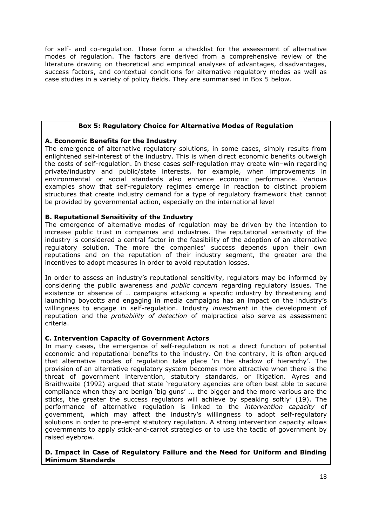for self- and co-regulation. These form a checklist for the assessment of alternative modes of regulation. The factors are derived from a comprehensive review of the literature drawing on theoretical and empirical analyses of advantages, disadvantages, success factors, and contextual conditions for alternative regulatory modes as well as case studies in a variety of policy fields. They are summarised in Box 5 below.

# **Box 5: Regulatory Choice for Alternative Modes of Regulation**

# **A. Economic Benefits for the Industry**

The emergence of alternative regulatory solutions, in some cases, simply results from enlightened self-interest of the industry. This is when direct economic benefits outweigh the costs of self-regulation. In these cases self-regulation may create win–win regarding private/industry and public/state interests, for example, when improvements in environmental or social standards also enhance economic performance. Various examples show that self-regulatory regimes emerge in reaction to distinct problem structures that create industry demand for a type of regulatory framework that cannot be provided by governmental action, especially on the international level

## **B. Reputational Sensitivity of the Industry**

The emergence of alternative modes of regulation may be driven by the intention to increase public trust in companies and industries. The reputational sensitivity of the industry is considered a central factor in the feasibility of the adoption of an alternative regulatory solution. The more the companies' success depends upon their own reputations and on the reputation of their industry segment, the greater are the incentives to adopt measures in order to avoid reputation losses.

In order to assess an industry's reputational sensitivity, regulators may be informed by considering the public awareness and *public concern* regarding regulatory issues. The existence or absence of … campaigns attacking a specific industry by threatening and launching boycotts and engaging in media campaigns has an impact on the industry's willingness to engage in self-regulation. Industry *investment* in the development of reputation and the *probability of detection* of malpractice also serve as assessment criteria.

#### **C. Intervention Capacity of Government Actors**

In many cases, the emergence of self-regulation is not a direct function of potential economic and reputational benefits to the industry. On the contrary, it is often argued that alternative modes of regulation take place 'in the shadow of hierarchy'. The provision of an alternative regulatory system becomes more attractive when there is the threat of government intervention, statutory standards, or litigation. Ayres and Braithwaite (1992) argued that state 'regulatory agencies are often best able to secure compliance when they are benign 'big guns' ... the bigger and the more various are the sticks, the greater the success regulators will achieve by speaking softly' (19). The performance of alternative regulation is linked to the *intervention capacity* of government, which may affect the industry's willingness to adopt self-regulatory solutions in order to pre-empt statutory regulation. A strong intervention capacity allows governments to apply stick-and-carrot strategies or to use the tactic of government by raised eyebrow.

#### **D. Impact in Case of Regulatory Failure and the Need for Uniform and Binding Minimum Standards**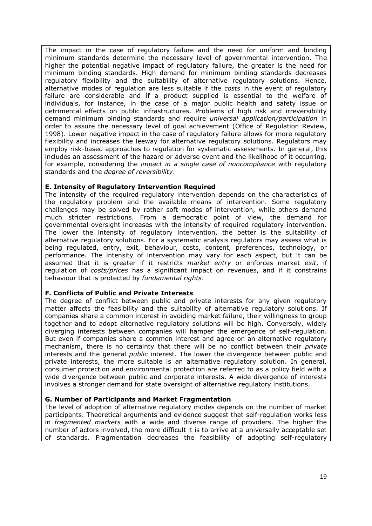The impact in the case of regulatory failure and the need for uniform and binding minimum standards determine the necessary level of governmental intervention. The higher the potential negative impact of regulatory failure, the greater is the need for minimum binding standards. High demand for minimum binding standards decreases regulatory flexibility and the suitability of alternative regulatory solutions. Hence, alternative modes of regulation are less suitable if the *costs* in the event of regulatory failure are considerable and if a product supplied is essential to the welfare of individuals, for instance, in the case of a major public health and safety issue or detrimental effects on public infrastructures. Problems of high risk and irreversibility demand minimum binding standards and require *universal application/participation* in order to assure the necessary level of goal achievement (Office of Regulation Review, 1998). Lower negative impact in the case of regulatory failure allows for more regulatory flexibility and increases the leeway for alternative regulatory solutions. Regulators may employ risk-based approaches to regulation for systematic assessments. In general, this includes an assessment of the hazard or adverse event and the likelihood of it occurring, for example, considering the *impact in a single case of noncompliance* with regulatory standards and the *degree of reversibility*.

## **E. Intensity of Regulatory Intervention Required**

The intensity of the required regulatory intervention depends on the characteristics of the regulatory problem and the available means of intervention. Some regulatory challenges may be solved by rather soft modes of intervention, while others demand much stricter restrictions. From a democratic point of view, the demand for governmental oversight increases with the intensity of required regulatory intervention. The lower the intensity of regulatory intervention, the better is the suitability of alternative regulatory solutions. For a systematic analysis regulators may assess what is being regulated, entry, exit, behaviour, costs, content, preferences, technology, or performance. The intensity of intervention may vary for each aspect, but it can be assumed that it is greater if it restricts *market entry* or enforces market *exit*, if regulation of *costs/prices* has a significant impact on revenues, and if it constrains behaviour that is protected by *fundamental rights*.

#### **F. Conflicts of Public and Private Interests**

The degree of conflict between public and private interests for any given regulatory matter affects the feasibility and the suitability of alternative regulatory solutions. If companies share a common interest in avoiding market failure, their willingness to group together and to adopt alternative regulatory solutions will be high. Conversely, widely diverging interests between companies will hamper the emergence of self-regulation. But even if companies share a common interest and agree on an alternative regulatory mechanism, there is no certainty that there will be no conflict between their *private*  interests and the general *public* interest. The lower the divergence between public and private interests, the more suitable is an alternative regulatory solution. In general, consumer protection and environmental protection are referred to as a policy field with a wide divergence between public and corporate interests. A wide divergence of interests involves a stronger demand for state oversight of alternative regulatory institutions.

# **G. Number of Participants and Market Fragmentation**

The level of adoption of alternative regulatory modes depends on the number of market participants. Theoretical arguments and evidence suggest that self-regulation works less in *fragmented markets* with a wide and diverse range of providers. The higher the number of actors involved, the more difficult it is to arrive at a universally acceptable set of standards. Fragmentation decreases the feasibility of adopting self-regulatory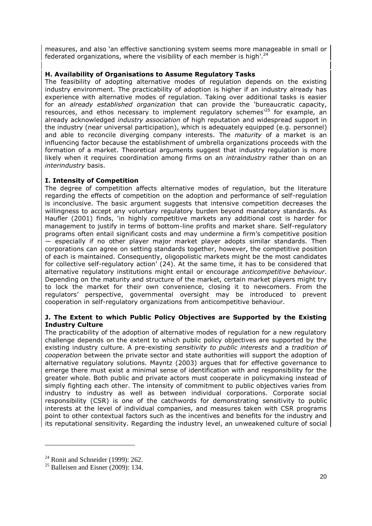measures, and also 'an effective sanctioning system seems more manageable in small or federated organizations, where the visibility of each member is high'.<sup>24</sup>

## **H. Availability of Organisations to Assume Regulatory Tasks**

The feasibility of adopting alternative modes of regulation depends on the existing industry environment. The practicability of adoption is higher if an industry already has experience with alternative modes of regulation. Taking over additional tasks is easier for an *already established organization* that can provide the 'bureaucratic capacity, resources, and ethos necessary to implement regulatory schemes<sup> $25$ </sup> for example, an already acknowledged *industry association* of high reputation and widespread support in the industry (near universal participation), which is adequately equipped (e.g. personnel) and able to reconcile diverging company interests. The *maturity* of a market is an influencing factor because the establishment of umbrella organizations proceeds with the formation of a market. Theoretical arguments suggest that industry regulation is more likely when it requires coordination among firms on an *intraindustry* rather than on an *interindustry* basis.

# **I. Intensity of Competition**

The degree of competition affects alternative modes of regulation, but the literature regarding the effects of competition on the adoption and performance of self-regulation is inconclusive. The basic argument suggests that intensive competition decreases the willingness to accept any voluntary regulatory burden beyond mandatory standards. As Haufler (2001) finds, 'in highly competitive markets any additional cost is harder for management to justify in terms of bottom-line profits and market share. Self-regulatory programs often entail significant costs and may undermine a firm's competitive position — especially if no other player major market player adopts similar standards. Then corporations can agree on setting standards together, however, the competitive position of each is maintained. Consequently, oligopolistic markets might be the most candidates for collective self-regulatory action' (24). At the same time, it has to be considered that alternative regulatory institutions might entail or encourage *anticompetitive behaviour*. Depending on the maturity and structure of the market, certain market players might try to lock the market for their own convenience, closing it to newcomers. From the regulators' perspective, governmental oversight may be introduced to prevent cooperation in self-regulatory organizations from anticompetitive behaviour.

## **J. The Extent to which Public Policy Objectives are Supported by the Existing Industry Culture**

The practicability of the adoption of alternative modes of regulation for a new regulatory challenge depends on the extent to which public policy objectives are supported by the existing industry culture. A pre-existing *sensitivity to public interests* and a *tradition of cooperation* between the private sector and state authorities will support the adoption of alternative regulatory solutions. Mayntz (2003) argues that for effective governance to emerge there must exist a minimal sense of identification with and responsibility for the greater whole. Both public and private actors must cooperate in policymaking instead of simply fighting each other. The intensity of commitment to public objectives varies from industry to industry as well as between individual corporations. Corporate social responsibility (CSR) is one of the catchwords for demonstrating sensitivity to public interests at the level of individual companies, and measures taken with CSR programs point to other contextual factors such as the incentives and benefits for the industry and its reputational sensitivity. Regarding the industry level, an unweakened culture of social

 $24$  Ronit and Schneider (1999): 262.

 $25$  Balleisen and Eisner (2009): 134.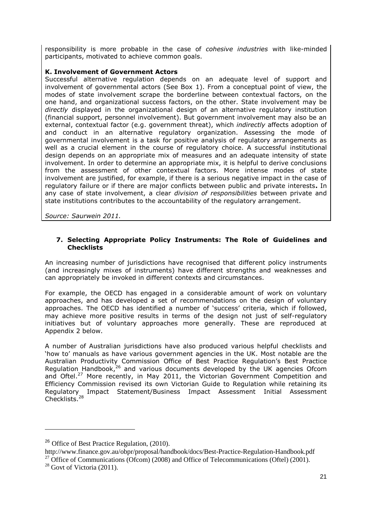responsibility is more probable in the case of *cohesive industries* with like-minded participants, motivated to achieve common goals.

## **K. Involvement of Government Actors**

Successful alternative regulation depends on an adequate level of support and involvement of governmental actors (See Box 1). From a conceptual point of view, the modes of state involvement scrape the borderline between contextual factors, on the one hand, and organizational success factors, on the other. State involvement may be *directly* displayed in the organizational design of an alternative regulatory institution (financial support, personnel involvement). But government involvement may also be an external, contextual factor (e.g. government threat), which *indirectly* affects adoption of and conduct in an alternative regulatory organization. Assessing the mode of governmental involvement is a task for positive analysis of regulatory arrangements as well as a crucial element in the course of regulatory choice. A successful institutional design depends on an appropriate mix of measures and an adequate intensity of state involvement. In order to determine an appropriate mix, it is helpful to derive conclusions from the assessment of other contextual factors. More intense modes of state involvement are justified, for example, if there is a serious negative impact in the case of regulatory failure or if there are major conflicts between public and private interests**.** In any case of state involvement, a clear *division of responsibilities* between private and state institutions contributes to the accountability of the regulatory arrangement.

*Source: Saurwein 2011.*

## **7. Selecting Appropriate Policy Instruments: The Role of Guidelines and Checklists**

An increasing number of jurisdictions have recognised that different policy instruments (and increasingly mixes of instruments) have different strengths and weaknesses and can appropriately be invoked in different contexts and circumstances.

For example, the OECD has engaged in a considerable amount of work on voluntary approaches, and has developed a set of recommendations on the design of voluntary approaches. The OECD has identified a number of 'success' criteria, which if followed, may achieve more positive results in terms of the design not just of self-regulatory initiatives but of voluntary approaches more generally. These are reproduced at Appendix 2 below.

A number of Australian jurisdictions have also produced various helpful checklists and 'how to' manuals as have various government agencies in the UK. Most notable are the Australian Productivity Commission Office of Best Practice Regulation's Best Practice Regulation Handbook,<sup>26</sup> and various documents developed by the UK agencies Ofcom and Oftel.<sup>27</sup> More recently, in May 2011, the Victorian Government Competition and Efficiency Commission revised its own Victorian Guide to Regulation while retaining its Regulatory Impact Statement/Business Impact Assessment Initial Assessment Checklists. 28

<sup>26</sup> Office of Best Practice Regulation, (2010).

http://www.finance.gov.au/obpr/proposal/handbook/docs/Best-Practice-Regulation-Handbook.pdf <sup>27</sup> Office of Communications (Ofcom) (2008) and Office of Telecommunications (Oftel) (2001).

 $28$  Govt of Victoria (2011).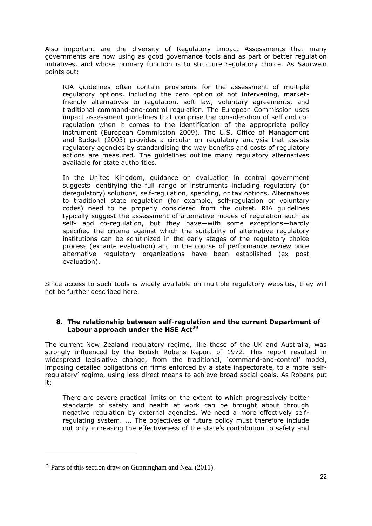Also important are the diversity of Regulatory Impact Assessments that many governments are now using as good governance tools and as part of better regulation initiatives, and whose primary function is to structure regulatory choice. As Saurwein points out:

RIA guidelines often contain provisions for the assessment of multiple regulatory options, including the zero option of not intervening, marketfriendly alternatives to regulation, soft law, voluntary agreements, and traditional command-and-control regulation. The European Commission uses impact assessment guidelines that comprise the consideration of self and coregulation when it comes to the identification of the appropriate policy instrument (European Commission 2009). The U.S. Office of Management and Budget (2003) provides a circular on regulatory analysis that assists regulatory agencies by standardising the way benefits and costs of regulatory actions are measured. The guidelines outline many regulatory alternatives available for state authorities.

In the United Kingdom, guidance on evaluation in central government suggests identifying the full range of instruments including regulatory (or deregulatory) solutions, self-regulation, spending, or tax options. Alternatives to traditional state regulation (for example, self-regulation or voluntary codes) need to be properly considered from the outset. RIA guidelines typically suggest the assessment of alternative modes of regulation such as self- and co-regulation, but they have—with some exceptions—hardly specified the criteria against which the suitability of alternative regulatory institutions can be scrutinized in the early stages of the regulatory choice process (ex ante evaluation) and in the course of performance review once alternative regulatory organizations have been established (ex post evaluation).

Since access to such tools is widely available on multiple regulatory websites, they will not be further described here.

#### **8. The relationship between self-regulation and the current Department of Labour approach under the HSE Act<sup>29</sup>**

The current New Zealand regulatory regime, like those of the UK and Australia, was strongly influenced by the British Robens Report of 1972. This report resulted in widespread legislative change, from the traditional, 'command-and-control' model, imposing detailed obligations on firms enforced by a state inspectorate, to a more 'selfregulatory' regime, using less direct means to achieve broad social goals. As Robens put it:

There are severe practical limits on the extent to which progressively better standards of safety and health at work can be brought about through negative regulation by external agencies. We need a more effectively selfregulating system. ... The objectives of future policy must therefore include not only increasing the effectiveness of the state's contribution to safety and

 $^{29}$  Parts of this section draw on Gunningham and Neal (2011).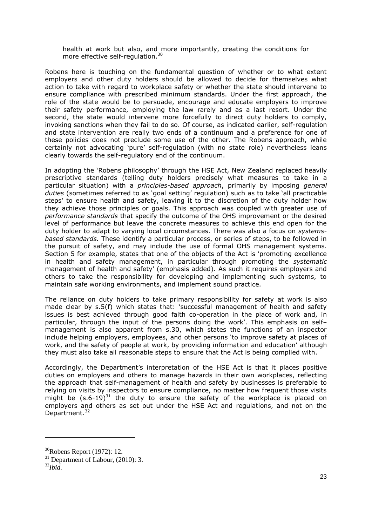health at work but also, and more importantly, creating the conditions for more effective self-regulation.<sup>30</sup>

Robens here is touching on the fundamental question of whether or to what extent employers and other duty holders should be allowed to decide for themselves what action to take with regard to workplace safety or whether the state should intervene to ensure compliance with prescribed minimum standards. Under the first approach, the role of the state would be to persuade, encourage and educate employers to improve their safety performance, employing the law rarely and as a last resort. Under the second, the state would intervene more forcefully to direct duty holders to comply, invoking sanctions when they fail to do so. Of course, as indicated earlier, self-regulation and state intervention are really two ends of a continuum and a preference for one of these policies does not preclude some use of the other. The Robens approach, while certainly not advocating 'pure' self-regulation (with no state role) nevertheless leans clearly towards the self-regulatory end of the continuum.

In adopting the 'Robens philosophy' through the HSE Act, New Zealand replaced heavily prescriptive standards (telling duty holders precisely what measures to take in a particular situation) with a *principles-based approach*, primarily by imposing *general duties* (sometimes referred to as 'goal setting' regulation) such as to take 'all practicable steps' to ensure health and safety, leaving it to the discretion of the duty holder how they achieve those principles or goals. This approach was coupled with greater use of *performance standards* that specify the outcome of the OHS improvement or the desired level of performance but leave the concrete measures to achieve this end open for the duty holder to adapt to varying local circumstances. There was also a focus on *systemsbased standards.* These identify a particular process, or series of steps, to be followed in the pursuit of safety, and may include the use of formal OHS management systems. Section 5 for example, states that one of the objects of the Act is 'promoting excellence in health and safety management, in particular through promoting the *systematic*  management of health and safety' (emphasis added). As such it requires employers and others to take the responsibility for developing and implementing such systems, to maintain safe working environments, and implement sound practice.

The reliance on duty holders to take primary responsibility for safety at work is also made clear by s.5(f) which states that: 'successful management of health and safety issues is best achieved through good faith co-operation in the place of work and, in particular, through the input of the persons doing the work'. This emphasis on self– management is also apparent from s.30, which states the functions of an inspector include helping employers, employees, and other persons 'to improve safety at places of work, and the safety of people at work, by providing information and education' although they must also take all reasonable steps to ensure that the Act is being complied with.

Accordingly, the Department's interpretation of the HSE Act is that it places positive duties on employers and others to manage hazards in their own workplaces, reflecting the approach that self-management of health and safety by businesses is preferable to relying on visits by inspectors to ensure compliance, no matter how frequent those visits might be  $(s.6-19)^{31}$  the duty to ensure the safety of the workplace is placed on employers and others as set out under the HSE Act and regulations, and not on the Department.<sup>32</sup>

 $30Robens Report (1972): 12.$ 

 $31$  Department of Labour, (2010): 3.

 $32$ *Ibid.*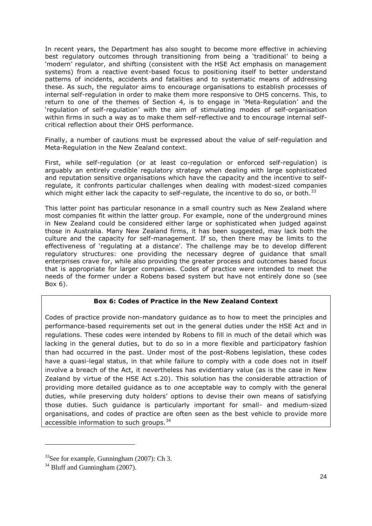In recent years, the Department has also sought to become more effective in achieving best regulatory outcomes through transitioning from being a 'traditional' to being a 'modern' regulator, and shifting (consistent with the HSE Act emphasis on management systems) from a reactive event-based focus to positioning itself to better understand patterns of incidents, accidents and fatalities and to systematic means of addressing these. As such, the regulator aims to encourage organisations to establish processes of internal self-regulation in order to make them more responsive to OHS concerns. This, to return to one of the themes of Section 4, is to engage in 'Meta-Regulation' and the 'regulation of self-regulation' with the aim of stimulating modes of self-organisation within firms in such a way as to make them self-reflective and to encourage internal selfcritical reflection about their OHS performance.

Finally, a number of cautions must be expressed about the value of self-regulation and Meta-Regulation in the New Zealand context.

First, while self-regulation (or at least co-regulation or enforced self-regulation) is arguably an entirely credible regulatory strategy when dealing with large sophisticated and reputation sensitive organisations which have the capacity and the incentive to selfregulate, it confronts particular challenges when dealing with modest-sized companies which might either lack the capacity to self-regulate, the incentive to do so, or both.<sup>33</sup>

This latter point has particular resonance in a small country such as New Zealand where most companies fit within the latter group. For example, none of the underground mines in New Zealand could be considered either large or sophisticated when judged against those in Australia. Many New Zealand firms, it has been suggested, may lack both the culture and the capacity for self-management. If so, then there may be limits to the effectiveness of 'regulating at a distance'. The challenge may be to develop different regulatory structures: one providing the necessary degree of guidance that small enterprises crave for, while also providing the greater process and outcomes based focus that is appropriate for larger companies. Codes of practice were intended to meet the needs of the former under a Robens based system but have not entirely done so (see Box 6).

# **Box 6: Codes of Practice in the New Zealand Context**

Codes of practice provide non-mandatory guidance as to how to meet the principles and performance-based requirements set out in the general duties under the HSE Act and in regulations. These codes were intended by Robens to fill in much of the detail which was lacking in the general duties, but to do so in a more flexible and participatory fashion than had occurred in the past. Under most of the post-Robens legislation, these codes have a quasi-legal status, in that while failure to comply with a code does not in itself involve a breach of the Act, it nevertheless has evidentiary value (as is the case in New Zealand by virtue of the HSE Act s.20). This solution has the considerable attraction of providing more detailed guidance as to *one* acceptable way to comply with the general duties, while preserving duty holders' options to devise their own means of satisfying those duties. Such guidance is particularly important for small- and medium-sized organisations, and codes of practice are often seen as the best vehicle to provide more accessible information to such groups.<sup>34</sup>

 $33$ See for example, Gunningham (2007): Ch 3.

 $34$  Bluff and Gunningham (2007).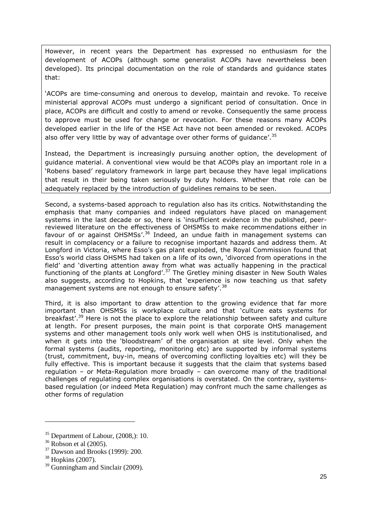However, in recent years the Department has expressed no enthusiasm for the development of ACOPs (although some generalist ACOPs have nevertheless been developed). Its principal documentation on the role of standards and guidance states that:

'ACOPs are time-consuming and onerous to develop, maintain and revoke. To receive ministerial approval ACOPs must undergo a significant period of consultation. Once in place, ACOPs are difficult and costly to amend or revoke. Consequently the same process to approve must be used for change or revocation. For these reasons many ACOPs developed earlier in the life of the HSE Act have not been amended or revoked. ACOPs also offer very little by way of advantage over other forms of guidance'.<sup>35</sup>

Instead, the Department is increasingly pursuing another option, the development of guidance material. A conventional view would be that ACOPs play an important role in a 'Robens based' regulatory framework in large part because they have legal implications that result in their being taken seriously by duty holders. Whether that role can be adequately replaced by the introduction of guidelines remains to be seen.

Second, a systems-based approach to regulation also has its critics. Notwithstanding the emphasis that many companies and indeed regulators have placed on management systems in the last decade or so, there is 'insufficient evidence in the published, peerreviewed literature on the effectiveness of OHSMSs to make recommendations either in favour of or against OHSMSs'.<sup>36</sup> Indeed, an undue faith in management systems can result in complacency or a failure to recognise important hazards and address them. At Longford in Victoria, where Esso's gas plant exploded, the Royal Commission found that Esso's world class OHSMS had taken on a life of its own, 'divorced from operations in the field' and 'diverting attention away from what was actually happening in the practical functioning of the plants at Longford'.<sup>37</sup> The Gretley mining disaster in New South Wales also suggests, according to Hopkins, that 'experience is now teaching us that safety management systems are not enough to ensure safety'.<sup>38</sup>

Third, it is also important to draw attention to the growing evidence that far more important than OHSMSs is workplace culture and that 'culture eats systems for breakfast'.<sup>39</sup> Here is not the place to explore the relationship between safety and culture at length. For present purposes, the main point is that corporate OHS management systems and other management tools only work well when OHS is institutionalised, and when it gets into the 'bloodstream' of the organisation at site level. Only when the formal systems (audits, reporting, monitoring etc) are supported by informal systems (trust, commitment, buy-in, means of overcoming conflicting loyalties etc) will they be fully effective. This is important because it suggests that the claim that systems based regulation – or Meta-Regulation more broadly – can overcome many of the traditional challenges of regulating complex organisations is overstated. On the contrary, systemsbased regulation (or indeed Meta Regulation) may confront much the same challenges as other forms of regulation

 $35$  Department of Labour, (2008,): 10.

 $36$  Robson et al (2005).

<sup>37</sup> Dawson and Brooks (1999): 200.

<sup>&</sup>lt;sup>38</sup> Hopkins (2007).

<sup>39</sup> Gunningham and Sinclair (2009)*.*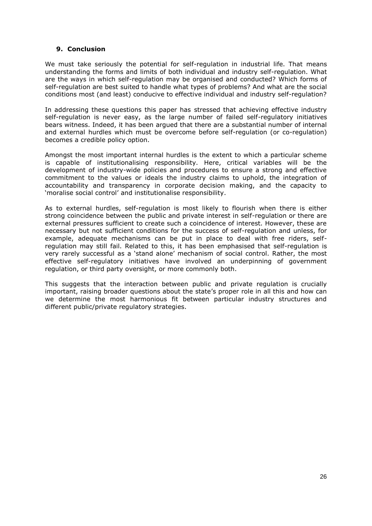## **9. Conclusion**

We must take seriously the potential for self-regulation in industrial life. That means understanding the forms and limits of both individual and industry self-regulation. What are the ways in which self-regulation may be organised and conducted? Which forms of self-regulation are best suited to handle what types of problems? And what are the social conditions most (and least) conducive to effective individual and industry self-regulation?

In addressing these questions this paper has stressed that achieving effective industry self-regulation is never easy, as the large number of failed self-regulatory initiatives bears witness. Indeed, it has been argued that there are a substantial number of internal and external hurdles which must be overcome before self-regulation (or co-regulation) becomes a credible policy option.

Amongst the most important internal hurdles is the extent to which a particular scheme is capable of institutionalising responsibility. Here, critical variables will be the development of industry-wide policies and procedures to ensure a strong and effective commitment to the values or ideals the industry claims to uphold, the integration of accountability and transparency in corporate decision making, and the capacity to 'moralise social control' and institutionalise responsibility.

As to external hurdles, self-regulation is most likely to flourish when there is either strong coincidence between the public and private interest in self-regulation or there are external pressures sufficient to create such a coincidence of interest. However, these are necessary but not sufficient conditions for the success of self-regulation and unless, for example, adequate mechanisms can be put in place to deal with free riders, selfregulation may still fail. Related to this, it has been emphasised that self-regulation is very rarely successful as a 'stand alone' mechanism of social control. Rather, the most effective self-regulatory initiatives have involved an underpinning of government regulation, or third party oversight, or more commonly both.

This suggests that the interaction between public and private regulation is crucially important, raising broader questions about the state's proper role in all this and how can we determine the most harmonious fit between particular industry structures and different public/private regulatory strategies.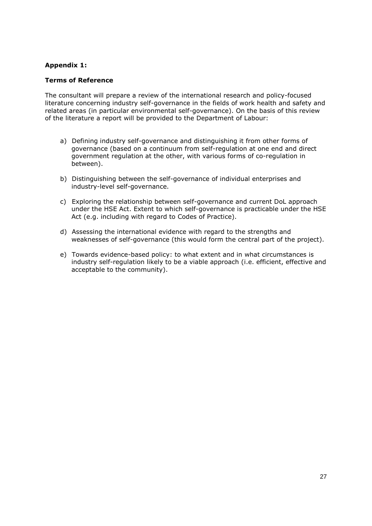# **Appendix 1:**

## **Terms of Reference**

The consultant will prepare a review of the international research and policy-focused literature concerning industry self-governance in the fields of work health and safety and related areas (in particular environmental self-governance). On the basis of this review of the literature a report will be provided to the Department of Labour:

- a) Defining industry self-governance and distinguishing it from other forms of governance (based on a continuum from self-regulation at one end and direct government regulation at the other, with various forms of co-regulation in between).
- b) Distinguishing between the self-governance of individual enterprises and industry-level self-governance.
- c) Exploring the relationship between self-governance and current DoL approach under the HSE Act. Extent to which self-governance is practicable under the HSE Act (e.g. including with regard to Codes of Practice).
- d) Assessing the international evidence with regard to the strengths and weaknesses of self-governance (this would form the central part of the project).
- e) Towards evidence-based policy: to what extent and in what circumstances is industry self-regulation likely to be a viable approach (i.e. efficient, effective and acceptable to the community).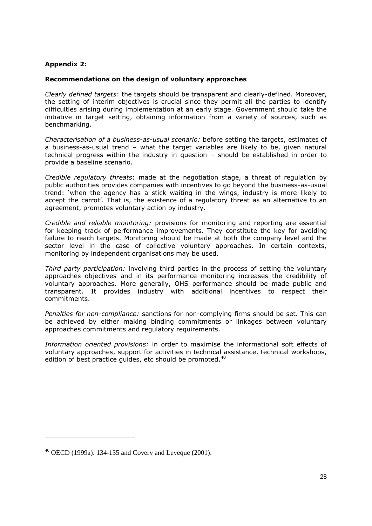## **Appendix 2:**

#### **Recommendations on the design of voluntary approaches**

*Clearly defined targets*: the targets should be transparent and clearly-defined. Moreover, the setting of interim objectives is crucial since they permit all the parties to identify difficulties arising during implementation at an early stage. Government should take the initiative in target setting, obtaining information from a variety of sources, such as benchmarking.

*Characterisation of a business-as-usual scenario:* before setting the targets, estimates of a business-as-usual trend – what the target variables are likely to be, given natural technical progress within the industry in question – should be established in order to provide a baseline scenario.

*Credible regulatory threats*: made at the negotiation stage, a threat of regulation by public authorities provides companies with incentives to go beyond the business-as-usual trend: 'when the agency has a stick waiting in the wings, industry is more likely to accept the carrot'. That is, the existence of a regulatory threat as an alternative to an agreement, promotes voluntary action by industry.

*Credible and reliable monitoring:* provisions for monitoring and reporting are essential for keeping track of performance improvements. They constitute the key for avoiding failure to reach targets. Monitoring should be made at both the company level and the sector level in the case of collective voluntary approaches. In certain contexts, monitoring by independent organisations may be used.

*Third party participation:* involving third parties in the process of setting the voluntary approaches objectives and in its performance monitoring increases the credibility of voluntary approaches. More generally, OHS performance should be made public and transparent. It provides industry with additional incentives to respect their commitments.

*Penalties for non-compliance:* sanctions for non-complying firms should be set. This can be achieved by either making binding commitments or linkages between voluntary approaches commitments and regulatory requirements.

*Information oriented provisions:* in order to maximise the informational soft effects of voluntary approaches, support for activities in technical assistance, technical workshops, edition of best practice guides, etc should be promoted.<sup>40</sup>

<sup>40</sup> OECD (1999a): 134-135 and Covery and Leveque (2001).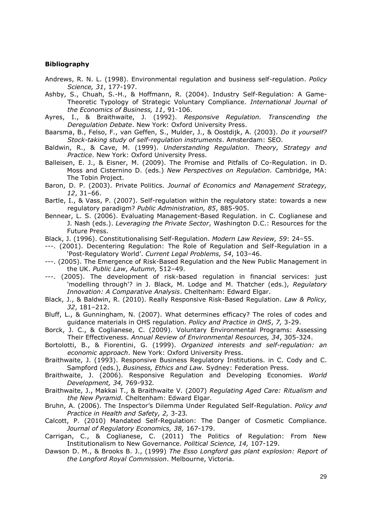#### **Bibliography**

- Andrews, R. N. L. (1998). Environmental regulation and business self-regulation. *Policy Science, 31*, 177-197.
- Ashby, S., Chuah, S.-H., & Hoffmann, R. (2004). Industry Self-Regulation: A Game-Theoretic Typology of Strategic Voluntary Compliance. *International Journal of the Economics of Business, 11*, 91-106.
- Ayres, I., & Braithwaite, J. (1992). *Responsive Regulation. Transcending the Deregulation Debate*. New York: Oxford University Press.
- Baarsma, B., Felso, F., van Geffen, S., Mulder, J., & Oostdijk, A. (2003). *Do it yourself? Stock-taking study of self-regulation instruments*. Amsterdam: SEO.
- Baldwin, R., & Cave, M. (1999). *Understanding Regulation. Theory, Strategy and Practice*. New York: Oxford University Press.
- Balleisen, E. J., & Eisner, M. (2009). The Promise and Pitfalls of Co-Regulation. in D. Moss and Cisternino D. (eds.) *New Perspectives on Regulation.* Cambridge, MA: The Tobin Project.
- Baron, D. P. (2003). Private Politics. *Journal of Economics and Management Strategy, 12*, 31–66.
- Bartle, I., & Vass, P. (2007). Self-regulation within the regulatory state: towards a new regulatory paradigm? *Public Administration, 85*, 885-905.
- Bennear, L. S. (2006). Evaluating Management-Based Regulation. in C. Coglianese and J. Nash (eds.). *Leveraging the Private Sector*, Washington D.C.: Resources for the Future Press.
- Black, J. (1996). Constitutionalising Self-Regulation. *Modern Law Review, 59*: 24–55.
- ---. (2001). Decentering Regulation: The Role of Regulation and Self-Regulation in a 'Post-Regulatory World'. *Current Legal Problems, 54*, 103–46.
- ---. (2005). The Emergence of Risk-Based Regulation and the New Public Management in the UK. *Public Law*, *Autumn,* 512–49.
- ---. (2005). The development of risk-based regulation in financial services: just 'modelling through'? in J. Black, M. Lodge and M. Thatcher (eds.), *Regulatory Innovation: A Comparative Analysis*. Cheltenham: Edward Elgar.
- Black, J., & Baldwin, R. (2010). Really Responsive Risk-Based Regulation. *Law & Policy, 32*, 181–212.
- Bluff, L., & Gunningham, N. (2007). What determines efficacy? The roles of codes and guidance materials in OHS regulation*. Policy and Practice in OHS*, *7,* 3-29.
- Borck, J. C., & Coglianese, C. (2009). Voluntary Environmental Programs: Assessing Their Effectiveness. *Annual Review of Environmental Resources, 34*, 305-324.
- Bortolotti, B., & Fiorentini, G. (1999). *Organized interests and self-regulation: an economic approach*. New York: Oxford University Press.
- Braithwaite, J. (1993). Responsive Business Regulatory Institutions. in C. Cody and C. Sampford (eds.), *Business, Ethics and Law.* Sydney: Federation Press.
- Braithwaite, J. (2006). Responsive Regulation and Developing Economies. *World Development, 34,* 769-932*.*
- Braithwaite, J., Makkai T., & Braithwaite V. (2007) *Regulating Aged Care: Ritualism and the New Pyramid.* Cheltenham: Edward Elgar.
- Bruhn, A. (2006). The Inspector's Dilemma Under Regulated Self-Regulation. *Policy and Practice in Health and Safety, 2,* 3-23*.*
- Calcott, P. (2010) Mandated Self-Regulation: The Danger of Cosmetic Compliance. *Journal of Regulatory Economics, 38,* 167-179.
- Carrigan, C., & Coglianese, C. (2011) The Politics of Regulation: From New Institutionalism to New Governance. *Political Science, 14,* 107-129.
- Dawson D. M., & Brooks B. J., (1999) *The Esso Longford gas plant explosion: Report of the Longford Royal Commission*. Melbourne, Victoria.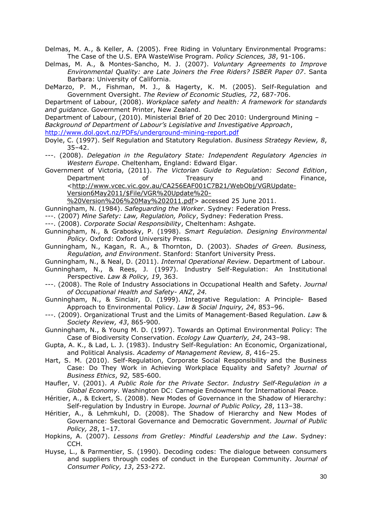Delmas, M. A., & Keller, A. (2005). Free Riding in Voluntary Environmental Programs: The Case of the U.S. EPA WasteWise Program. *Policy Sciences, 38*, 91-106.

Delmas, M. A., & Montes-Sancho, M. J. (2007). *Voluntary Agreements to Improve Environmental Quality: are Late Joiners the Free Riders? ISBER Paper 07*. Santa Barbara: University of California.

DeMarzo, P. M., Fishman, M. J., & Hagerty, K. M. (2005). Self-Regulation and Government Oversight. *The Review of Economic Studies, 72*, 687-706.

Department of Labour, (2008). *Workplace safety and health: A framework for standards and guidance*. Government Printer, New Zealand.

Department of Labour, (2010). Ministerial Brief of 20 Dec 2010: Underground Mining –

*Background of Department of Labour's Legislative and Investigative Approach*,

<http://www.dol.govt.nz/PDFs/underground-mining-report.pdf>

Doyle, C. (1997). Self Regulation and Statutory Regulation. *Business Strategy Review, 8*, 35–42.

---. (2008). *Delegation in the Regulatory State: Independent Regulatory Agencies in Western Europe*. Cheltenham, England: Edward Elgar.

Government of Victoria, (2011). *The Victorian Guide to Regulation: Second Edition*, Department of Treasury and Finance, [<http://www.vcec.vic.gov.au/CA256EAF001C7B21/WebObj/VGRUpdate-](http://www.vcec.vic.gov.au/CA256EAF001C7B21/WebObj/VGRUpdate-Version6May2011/$File/VGR%20Update%20-%20Version%206%20May%202011.pdf)[Version6May2011/\\$File/VGR%20Update%20-](http://www.vcec.vic.gov.au/CA256EAF001C7B21/WebObj/VGRUpdate-Version6May2011/$File/VGR%20Update%20-%20Version%206%20May%202011.pdf)

[%20Version%206%20May%202011.pdf>](http://www.vcec.vic.gov.au/CA256EAF001C7B21/WebObj/VGRUpdate-Version6May2011/$File/VGR%20Update%20-%20Version%206%20May%202011.pdf) accessed 25 June 2011.

Gunningham, N. (1984). *Safeguarding the Worker*. Sydney: Federation Press.

---. (2007) *Mine Safety: Law, Regulation, Policy*, Sydney: Federation Press.

---. (2008). *Corporate Social Responsibility*, Cheltenham: Ashgate.

Gunningham, N., & Grabosky, P. (1998). *Smart Regulation. Designing Environmental Policy*. Oxford: Oxford University Press.

- Gunningham, N., Kagan, R. A., & Thornton, D. (2003). *Shades of Green. Business, Regulation, and Environment*. Stanford: Stanfort University Press.
- Gunningham, N., & Neal, D. (2011). *Internal Operational Review*. Department of Labour.
- Gunningham, N., & Rees, J. (1997). Industry Self-Regulation: An Institutional Perspective. *Law & Policy, 19*, 363.
- ---. (2008). The Role of Industry Associations in Occupational Health and Safety. *Journal of Occupational Health and Safety- ANZ*, *24.*
- Gunningham, N., & Sinclair, D. (1999). Integrative Regulation: A Principle- Based Approach to Environmental Policy. *Law & Social Inquiry, 24*, 853–96.
- ---. (2009). Organizational Trust and the Limits of Management-Based Regulation. *Law* & *Society Review, 43*, 865-900.
- Gunningham, N., & Young M. D. (1997). Towards an Optimal Environmental Policy: The Case of Biodiversity Conservation. *Ecology Law Quarterly, 24*, 243–98.
- Gupta, A. K., & Lad, L. J. (1983). Industry Self-Regulation: An Economic, Organizational, and Political Analysis. *Academy of Management Review, 8*, 416–25.
- Hart, S. M. (2010). Self-Regulation, Corporate Social Responsibility and the Business Case: Do They Work in Achieving Workplace Equality and Safety? *Journal of Business Ethics*, *92,* 585-600.

Haufler, V. (2001). *A Public Role for the Private Sector. Industry Self-Regulation in a Global Economy*. Washington DC: Carnegie Endowment for International Peace.

- Héritier, A., & Eckert, S. (2008). New Modes of Governance in the Shadow of Hierarchy: Self-regulation by Industry in Europe. *Journal of Public Policy, 28*, 113–38.
- Héritier, A., & Lehmkuhl, D. (2008). The Shadow of Hierarchy and New Modes of Governance: Sectoral Governance and Democratic Government. *Journal of Public Policy, 28*, 1–17.
- Hopkins, A. (2007). *Lessons from Gretley: Mindful Leadership and the Law*. Sydney: CCH.
- Huyse, L., & Parmentier, S. (1990). Decoding codes: The dialogue between consumers and suppliers through codes of conduct in the European Community. *Journal of Consumer Policy, 13*, 253-272.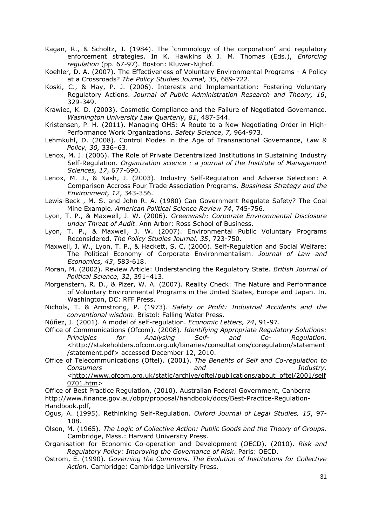- Kagan, R., & Scholtz, J. (1984). The 'criminology of the corporation' and regulatory enforcement strategies. In K. Hawkins & J. M. Thomas (Eds.), *Enforcing regulation* (pp. 67-97). Boston: Kluwer-Nijhof.
- Koehler, D. A. (2007). The Effectiveness of Voluntary Environmental Programs A Policy at a Crossroads? *The Policy Studies Journal, 35*, 689-722.
- Koski, C., & May, P. J. (2006). Interests and Implementation: Fostering Voluntary Regulatory Actions. *Journal of Public Administration Research and Theory, 16*, 329-349.
- Krawiec, K. D. (2003). Cosmetic Compliance and the Failure of Negotiated Governance. *Washington University Law Quarterly, 81*, 487-544.
- Kristensen, P. H. (2011). Managing OHS: A Route to a New Negotiating Order in High-Performance Work Organizations. *Safety Science*, *7,* 964-973.
- Lehmkuhl, D. (2008). Control Modes in the Age of Transnational Governance, *Law & Policy, 30,* 336–63.
- Lenox, M. J. (2006). The Role of Private Decentralized Institutions in Sustaining Industry Self-Regulation. *Organization science : a journal of the Institute of Management Sciences, 17*, 677-690.
- Lenox, M. J., & Nash, J. (2003). Industry Self-Regulation and Adverse Selection: A Comparison Accross Four Trade Association Programs. *Bussiness Strategy and the Environment, 12*, 343-356.
- Lewis-Beck , M. S. and John R. A. (1980) Can Government Regulate Safety? The Coal Mine Example. *American Political Science Review 74*, 745-756.
- Lyon, T. P., & Maxwell, J. W. (2006). *Greenwash: Corporate Environmental Disclosure under Threat of Audit*. Ann Arbor: Ross School of Business.
- Lyon, T. P., & Maxwell, J. W. (2007). Environmental Public Voluntary Programs Reconsidered. *The Policy Studies Journal, 35*, 723-750.
- Maxwell, J. W., Lyon, T. P., & Hackett, S. C. (2000). Self-Regulation and Social Welfare: The Political Economy of Corporate Environmentalism. *Journal of Law and Economics, 43*, 583-618.
- Moran, M. (2002). Review Article: Understanding the Regulatory State. *British Journal of Political Science, 32*, 391–413.
- Morgenstern, R. D., & Pizer, W. A. (2007). Reality Check: The Nature and Performance of Voluntary Environmental Programs in the United States, Europe and Japan. In. Washington, DC: RFF Press.
- Nichols, T. & Armstrong, P. (1973). *Safety or Profit: Industrial Accidents and the conventional wisdom*. Bristol: Falling Water Press.
- Núñez, J. (2001). A model of self-regulation. *Economic Letters, 74*, 91-97.
- Office of Communications (Ofcom). (2008). *Identifying Appropriate Regulatory Solutions: Principles for Analysing Self- and Co- Regulation*. <http://stakeholders.ofcom.org.uk/binaries/consultations/coregulation/statement /statement.pdf> accessed December 12, 2010.
- Office of Telecommunications (Oftel). (2001). *The Benefits of Self and Co-regulation to Consumers and Industry. <*[http://www.ofcom.org.uk/static/archive/oftel/publications/about\\_oftel/2001/self](http://www.ofcom.org.uk/static/archive/oftel/publications/about_oftel/2001/self0701.htm) [0701.htm>](http://www.ofcom.org.uk/static/archive/oftel/publications/about_oftel/2001/self0701.htm)
- Office of Best Practice Regulation, (2010). Australian Federal Government, Canberra http://www.finance.gov.au/obpr/proposal/handbook/docs/Best-Practice-Regulation-Handbook.pdf,
- Ogus, A. (1995). Rethinking Self-Regulation. *Oxford Journal of Legal Studies, 15*, 97- 108.
- Olson, M. (1965). *The Logic of Collective Action: Public Goods and the Theory of Groups*. Cambridge, Mass.: Harvard University Press.
- Organisation for Economic Co-operation and Development (OECD). (2010). *Risk and Regulatory Policy: Improving the Governance of Risk*. Paris: OECD.
- Ostrom, E. (1990). *Governing the Commons. The Evolution of Institutions for Collective Action*. Cambridge: Cambridge University Press.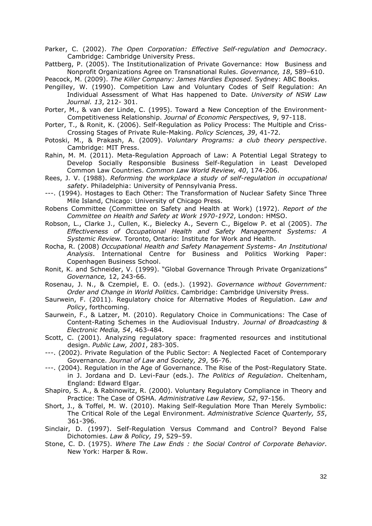Parker, C. (2002). *The Open Corporation: Effective Self-regulation and Democracy*. Cambridge: Cambridge University Press.

Pattberg, P. (2005). The Institutionalization of Private Governance: How Business and Nonprofit Organizations Agree on Transnational Rules. *Governance, 18*, 589–610.

Peacock, M. (2009). *The Killer Company: James Hardies Exposed.* Sydney: ABC Books.

- Pengilley, W. (1990). Competition Law and Voluntary Codes of Self Regulation: An Individual Assessment of What Has happened to Date. *University of NSW Law Journal. 13*, 212- 301.
- Porter, M., & van der Linde, C. (1995). Toward a New Conception of the Environment-Competitiveness Relationship. *Journal of Economic Perspectives, 9*, 97-118.
- Porter, T., & Ronit, K. (2006). Self-Regulation as Policy Process: The Multiple and Criss-Crossing Stages of Private Rule-Making. *Policy Sciences, 39*, 41-72.
- Potoski, M., & Prakash, A. (2009). *Voluntary Programs: a club theory perspective*. Cambridge: MIT Press.
- Rahin, M. M. (2011). Meta-Regulation Approach of Law: A Potential Legal Strategy to Develop Socially Responsible Business Self-Regulation in Least Developed Common Law Countries. *Common Law World Review, 40*, 174-206.
- Rees, J. V. (1988). *Reforming the workplace a study of self-regulation in occupational safety*. Philadelphia: University of Pennsylvania Press.
- ---. (1994). Hostages to Each Other: The Transformation of Nuclear Safety Since Three Mile Island, Chicago: University of Chicago Press.
- Robens Committee (Committee on Safety and Health at Work) (1972). *Report of the Committee on Health and Safety at Work 1970-1972*, London: HMSO.
- Robson, L., Clarke J., Cullen, K., Bielecky A., Severn C., Bigelow P. et al (2005). *The Effectiveness of Occupational Health and Safety Management Systems: A Systemic Review.* Toronto, Ontario: Institute for Work and Health.
- Rocha, R. (2008) *Occupational Health and Safety Management Systems- An Institutional Analysis*. International Centre for Business and Politics Working Paper: Copenhagen Business School.
- Ronit, K. and Schneider, V. (1999). "Global Governance Through Private Organizations" *Governance,* 12, 243-66.
- Rosenau, J. N., & Czempiel, E. O. (eds.). (1992). *Governance without Government: Order and Change in World Politics*. Cambridge: Cambridge University Press.
- Saurwein, F. (2011). Regulatory choice for Alternative Modes of Regulation. *Law and Policy*, forthcoming.
- Saurwein, F., & Latzer, M. (2010). Regulatory Choice in Communications: The Case of Content-Rating Schemes in the Audiovisual Industry. *Journal of Broadcasting & Electronic Media, 54*, 463-484.
- Scott, C. (2001). Analyzing regulatory space: fragmented resources and institutional design. *Public Law, 2001*, 283-305.
- ---. (2002). Private Regulation of the Public Sector: A Neglected Facet of Contemporary Governance. *Journal of Law and Society, 29*, 56-76.
- ---. (2004). Regulation in the Age of Governance. The Rise of the Post-Regulatory State. in J. Jordana and D. Levi-Faur (eds.). *The Politics of Regulation*. Cheltenham, England: Edward Elgar.
- Shapiro, S. A., & Rabinowitz, R. (2000). Voluntary Regulatory Compliance in Theory and Practice: The Case of OSHA. *Administrative Law Review, 52*, 97-156.
- Short, J., & Toffel, M. W. (2010). Making Self-Regulation More Than Merely Symbolic: The Critical Role of the Legal Environment. *Administrative Science Quarterly, 55*, 361-396.
- Sinclair, D. (1997). Self-Regulation Versus Command and Control? Beyond False Dichotomies. *Law & Policy, 19*, 529–59.
- Stone, C. D. (1975). *Where The Law Ends : the Social Control of Corporate Behavior*. New York: Harper & Row.